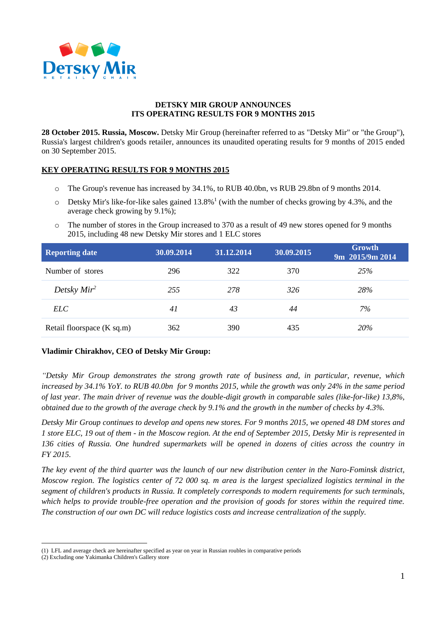

## **DETSKY MIR GROUP ANNOUNCES ITS OPERATING RESULTS FOR 9 MONTHS 2015**

**28 October 2015. Russia, Moscow.** Detsky Mir Group (hereinafter referred to as "Detsky Mir" or "the Group"), Russia's largest children's goods retailer, announces its unaudited operating results for 9 months of 2015 ended on 30 September 2015.

## **KEY OPERATING RESULTS FOR 9 MONTHS 2015**

- o The Group's revenue has increased by 34.1%, to RUB 40.0bn, vs RUB 29.8bn of 9 months 2014.
- $\circ$  Detsky Mir's like-for-like sales gained 13.8%<sup>1</sup> (with the number of checks growing by 4.3%, and the average check growing by 9.1%);
- o The number of stores in the Group increased to 370 as a result of 49 new stores opened for 9 months 2015, including 48 new Detsky Mir stores and 1 ELC stores

| <b>Reporting date</b>      | 30.09.2014 | 31.12.2014 | 30.09.2015 | <b>Growth</b><br>$9m$ 2015/9m 2014 |
|----------------------------|------------|------------|------------|------------------------------------|
| Number of stores           | 296        | 322        | 370        | 25%                                |
| Detsky $Mir^2$             | 255        | 278        | 326        | <b>28%</b>                         |
| ELC-                       | 41         | 43         | 44         | 7%                                 |
| Retail floorspace (K sq.m) | 362        | 390        | 435        | <b>20%</b>                         |

## **Vladimir Chirakhov, CEO of Detsky Mir Group:**

*"Detsky Mir Group demonstrates the strong growth rate of business and, in particular, revenue, which increased by 34.1% YoY. to RUB 40.0bn for 9 months 2015, while the growth was only 24% in the same period of last year. The main driver of revenue was the double-digit growth in comparable sales (like-for-like) 13,8%, obtained due to the growth of the average check by 9.1% and the growth in the number of checks by 4.3%.*

*Detsky Mir Group continues to develop and opens new stores. For 9 months 2015, we opened 48 DM stores and 1 store ELC, 19 out of them - in the Moscow region. At the end of September 2015, Detsky Mir is represented in 136 cities of Russia. One hundred supermarkets will be opened in dozens of cities across the country in FY 2015.*

*The key event of the third quarter was the launch of our new distribution center in the Naro-Fominsk district, Moscow region. The logistics center of 72 000 sq. m area is the largest specialized logistics terminal in the segment of children's products in Russia. It completely corresponds to modern requirements for such terminals, which helps to provide trouble-free operation and the provision of goods for stores within the required time. The construction of our own DC will reduce logistics costs and increase centralization of the supply.*

 $\overline{a}$ 

<sup>(1)</sup> LFL and average check are hereinafter specified as year on year in Russian roubles in comparative periods

<sup>(2)</sup> Excluding one Yakimanka Children's Gallery store